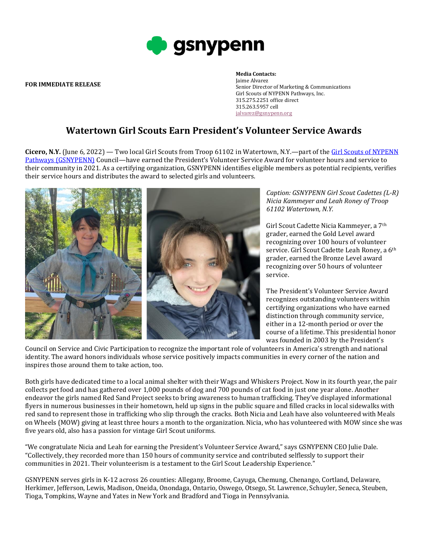

**FOR IMMEDIATE RELEASE**

## **Media Contacts:**

Jaime Alvarez Senior Director of Marketing & Communications Girl Scouts of NYPENN Pathways, Inc. 315.275.2251 office direct 315.263.5957 cell [jalvarez@gsnypenn.org](mailto:jalvarez@gsnypenn.org)

## **Watertown Girl Scouts Earn President's Volunteer Service Awards**

**Cicero, N.Y.** (June 6, 2022) — Two local Girl Scouts from Troop 61102 in Watertown, N.Y.—part of the Girl Scouts [of NYPENN](https://nam04.safelinks.protection.outlook.com/?url=http%3A%2F%2Flink.mediaoutreach.meltwater.com%2Fls%2Fclick%3Fupn%3D17esN1qkyBXnTsRlCs10qQcvlXfOaK9B1kTnMNQjhIHATfdPLV0bzZ-2FqIU6uhZS4ttko_qulDDNfMpBkCd-2Bfgo3xAH2qjNH5gxr6RO9TU2plC-2B7ZUuP2MAjBbiJtS0Eqkd-2FaljFUaJaQ9JKVTT4cak-2B-2BRZj5XXsyKeaMhXre5cRykB8EHwFFP-2BLtTiTF-2BNKauRUqOfRqSXbJMhlKdZoWZL0LB8oRWosFtTZRNA0aH8-2FJIBizq-2BOTTs-2FyCXWLO9r-2FYFWScxzcdFTIumKK89TmP-2Fqr8zqbf2fFHW1nIrA8k4Um-2BrF7xAKOs703cd8Gg1ROFtny-2BxOSRafCFq7ChKEeCTzf3ngnSmtd-2B6jor14-2BWrw9sDNYF-2Bd1fIt1a-2FWJcaepF7KZz-2BcUo9URu1gDcqpbO3ohgnjBQVGFq5wQyrtOPfdXCdBNTo2mdj39UsvFpcVjZyGeVfFiavk55Nz6QuAkhHqVFtQ-3D-3D&data=04%7C01%7Cjalvarez%40gsnypenn.org%7C3d3bf734d7c04845194b08d92b3e2c0a%7Cfb81b76668ff43b2926b1ca9b2080c9f%7C1%7C0%7C637588368306065674%7CUnknown%7CTWFpbGZsb3d8eyJWIjoiMC4wLjAwMDAiLCJQIjoiV2luMzIiLCJBTiI6Ik1haWwiLCJXVCI6Mn0%3D%7C1000&sdata=bFrkXx3xMnkaTQRvzJwnD1XHBZzBDg73Wjipl8%2F6ivg%3D&reserved=0)  Pathways [\(GSNYPENN\)](https://nam04.safelinks.protection.outlook.com/?url=http%3A%2F%2Flink.mediaoutreach.meltwater.com%2Fls%2Fclick%3Fupn%3D17esN1qkyBXnTsRlCs10qQcvlXfOaK9B1kTnMNQjhIHATfdPLV0bzZ-2FqIU6uhZS4ttko_qulDDNfMpBkCd-2Bfgo3xAH2qjNH5gxr6RO9TU2plC-2B7ZUuP2MAjBbiJtS0Eqkd-2FaljFUaJaQ9JKVTT4cak-2B-2BRZj5XXsyKeaMhXre5cRykB8EHwFFP-2BLtTiTF-2BNKauRUqOfRqSXbJMhlKdZoWZL0LB8oRWosFtTZRNA0aH8-2FJIBizq-2BOTTs-2FyCXWLO9r-2FYFWScxzcdFTIumKK89TmP-2Fqr8zqbf2fFHW1nIrA8k4Um-2BrF7xAKOs703cd8Gg1ROFtny-2BxOSRafCFq7ChKEeCTzf3ngnSmtd-2B6jor14-2BWrw9sDNYF-2Bd1fIt1a-2FWJcaepF7KZz-2BcUo9URu1gDcqpbO3ohgnjBQVGFq5wQyrtOPfdXCdBNTo2mdj39UsvFpcVjZyGeVfFiavk55Nz6QuAkhHqVFtQ-3D-3D&data=04%7C01%7Cjalvarez%40gsnypenn.org%7C3d3bf734d7c04845194b08d92b3e2c0a%7Cfb81b76668ff43b2926b1ca9b2080c9f%7C1%7C0%7C637588368306065674%7CUnknown%7CTWFpbGZsb3d8eyJWIjoiMC4wLjAwMDAiLCJQIjoiV2luMzIiLCJBTiI6Ik1haWwiLCJXVCI6Mn0%3D%7C1000&sdata=bFrkXx3xMnkaTQRvzJwnD1XHBZzBDg73Wjipl8%2F6ivg%3D&reserved=0) Council—have earned the President's Volunteer Service Award for volunteer hours and service to their community in 2021. As a certifying organization, GSNYPENN identifies eligible members as potential recipients, verifies their service hours and distributes the award to selected girls and volunteers.



*Caption: GSNYPENN Girl Scout Cadettes (L-R) Nicia Kammeyer and Leah Roney of Troop 61102 Watertown, N.Y.* 

Girl Scout Cadette Nicia Kammeyer, a 7th grader, earned the Gold Level award recognizing over 100 hours of volunteer service. Girl Scout Cadette Leah Roney, a 6<sup>th</sup> grader, earned the Bronze Level award recognizing over 50 hours of volunteer service.

The President's Volunteer Service Award recognizes outstanding volunteers within certifying organizations who have earned distinction through community service, either in a 12-month period or over the course of a lifetime. This presidential honor was founded in 2003 by the President's

Council on Service and Civic Participation to recognize the important role of volunteers in America's strength and national identity. The award honors individuals whose service positively impacts communities in every corner of the nation and inspires those around them to take action, too.

Both girls have dedicated time to a local animal shelter with their Wags and Whiskers Project. Now in its fourth year, the pair collects pet food and has gathered over 1,000 pounds of dog and 700 pounds of cat food in just one year alone. Another endeavor the girls named Red Sand Project seeks to bring awareness to human trafficking. They've displayed informational flyers in numerous businesses in their hometown, held up signs in the public square and filled cracks in local sidewalks with red sand to represent those in trafficking who slip through the cracks. Both Nicia and Leah have also volunteered with Meals on Wheels (MOW) giving at least three hours a month to the organization. Nicia, who has volunteered with MOW since she was five years old, also has a passion for vintage Girl Scout uniforms.

"We congratulate Nicia and Leah for earning the President's Volunteer Service Award," says GSNYPENN CEO Julie Dale. "Collectively, they recorded more than 150 hours of community service and contributed selflessly to support their communities in 2021. Their volunteerism is a testament to the Girl Scout Leadership Experience."

GSNYPENN serves girls in K-12 across 26 counties: Allegany, Broome, Cayuga, Chemung, Chenango, Cortland, Delaware, Herkimer, Jefferson, Lewis, Madison, Oneida, Onondaga, Ontario, Oswego, Otsego, St. Lawrence, Schuyler, Seneca, Steuben, Tioga, Tompkins, Wayne and Yates in New York and Bradford and Tioga in Pennsylvania.